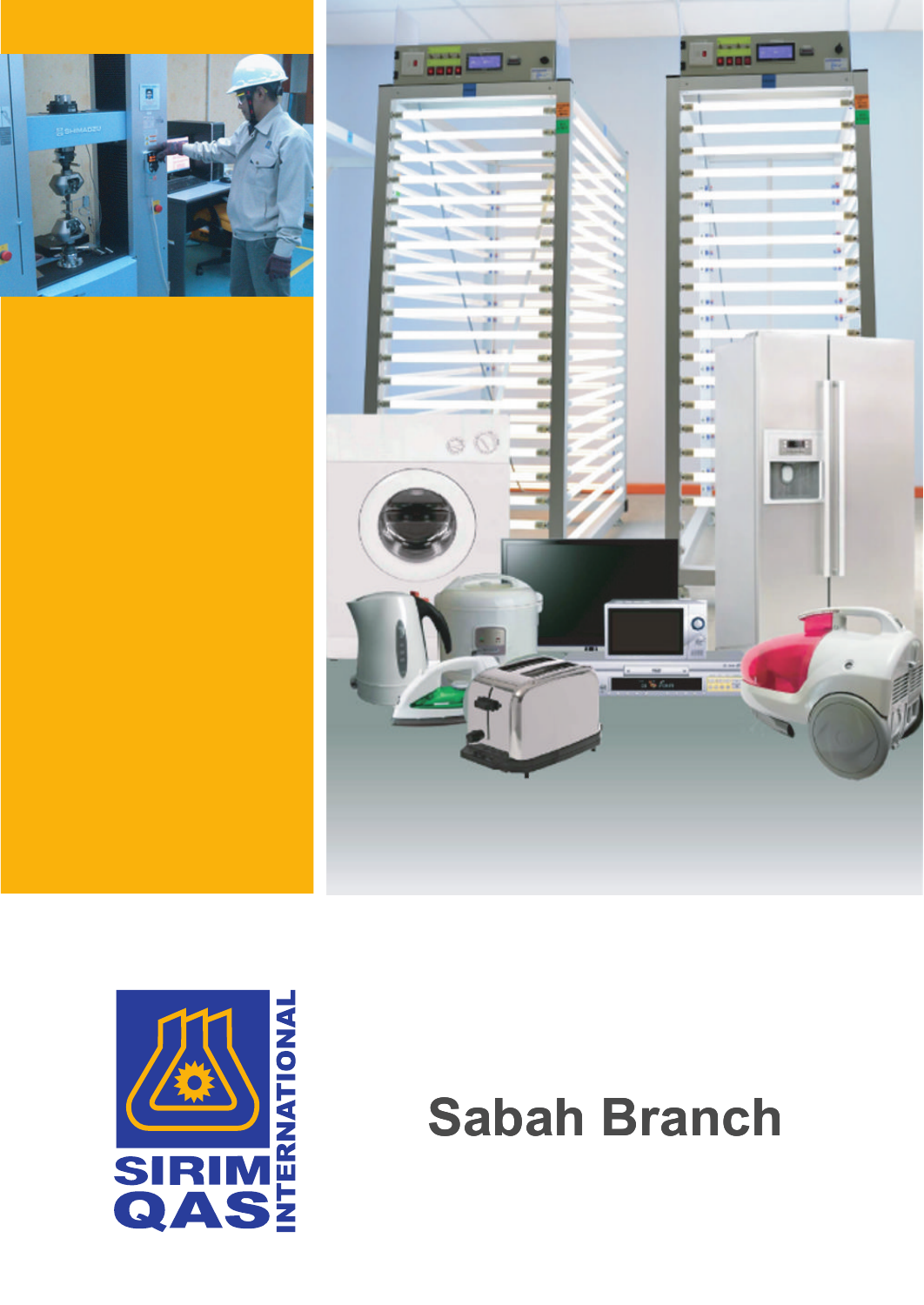





# **Sabah Branch**